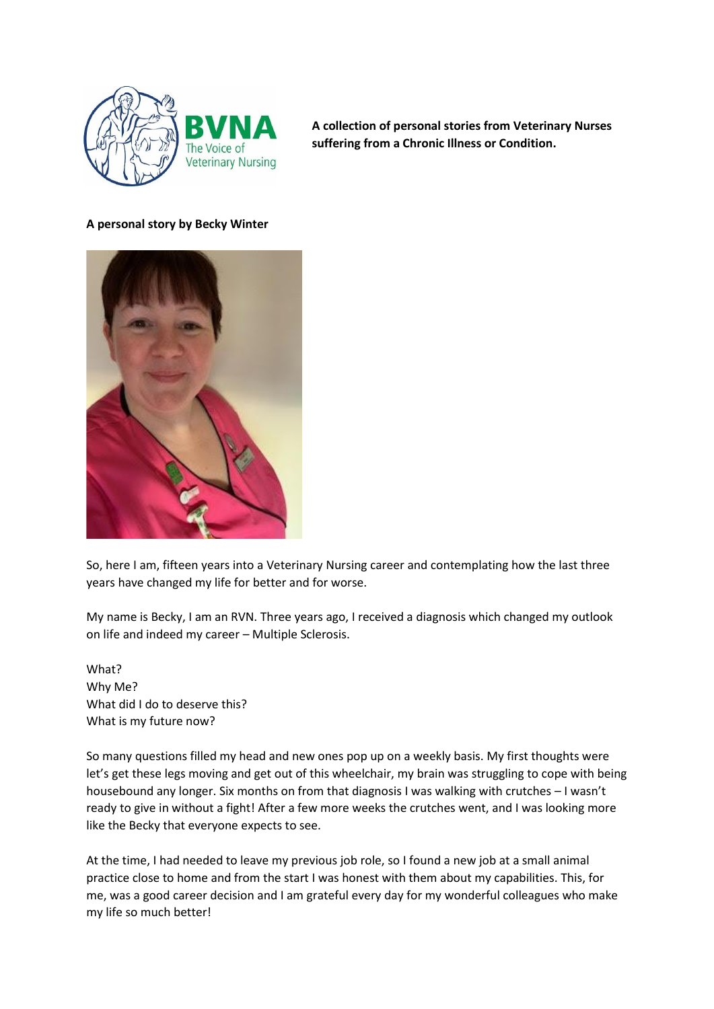

**A collection of personal stories from Veterinary Nurses suffering from a Chronic Illness or Condition.** 

## **A personal story by Becky Winter**



So, here I am, fifteen years into a Veterinary Nursing career and contemplating how the last three years have changed my life for better and for worse.

My name is Becky, I am an RVN. Three years ago, I received a diagnosis which changed my outlook on life and indeed my career – Multiple Sclerosis.

What? Why Me? What did I do to deserve this? What is my future now?

So many questions filled my head and new ones pop up on a weekly basis. My first thoughts were let's get these legs moving and get out of this wheelchair, my brain was struggling to cope with being housebound any longer. Six months on from that diagnosis I was walking with crutches – I wasn't ready to give in without a fight! After a few more weeks the crutches went, and I was looking more like the Becky that everyone expects to see.

At the time, I had needed to leave my previous job role, so I found a new job at a small animal practice close to home and from the start I was honest with them about my capabilities. This, for me, was a good career decision and I am grateful every day for my wonderful colleagues who make my life so much better!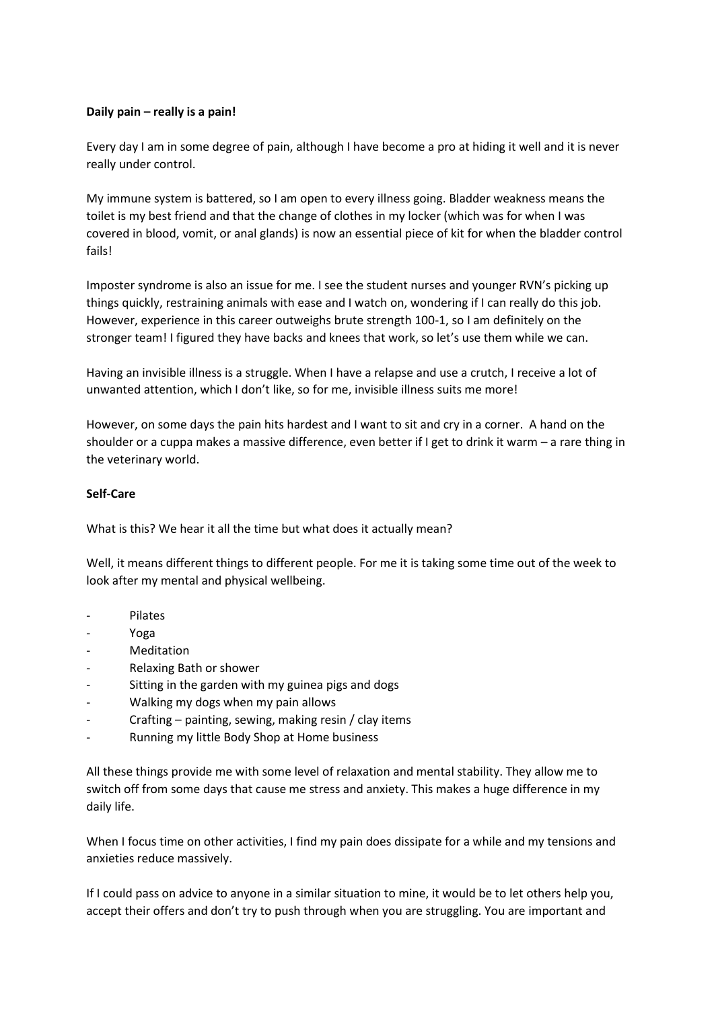## **Daily pain – really is a pain!**

Every day I am in some degree of pain, although I have become a pro at hiding it well and it is never really under control.

My immune system is battered, so I am open to every illness going. Bladder weakness means the toilet is my best friend and that the change of clothes in my locker (which was for when I was covered in blood, vomit, or anal glands) is now an essential piece of kit for when the bladder control fails!

Imposter syndrome is also an issue for me. I see the student nurses and younger RVN's picking up things quickly, restraining animals with ease and I watch on, wondering if I can really do this job. However, experience in this career outweighs brute strength 100-1, so I am definitely on the stronger team! I figured they have backs and knees that work, so let's use them while we can.

Having an invisible illness is a struggle. When I have a relapse and use a crutch, I receive a lot of unwanted attention, which I don't like, so for me, invisible illness suits me more!

However, on some days the pain hits hardest and I want to sit and cry in a corner. A hand on the shoulder or a cuppa makes a massive difference, even better if I get to drink it warm – a rare thing in the veterinary world.

## **Self-Care**

What is this? We hear it all the time but what does it actually mean?

Well, it means different things to different people. For me it is taking some time out of the week to look after my mental and physical wellbeing.

- **Pilates**
- Yoga
- Meditation
- Relaxing Bath or shower
- Sitting in the garden with my guinea pigs and dogs
- Walking my dogs when my pain allows
- Crafting painting, sewing, making resin / clay items
- Running my little Body Shop at Home business

All these things provide me with some level of relaxation and mental stability. They allow me to switch off from some days that cause me stress and anxiety. This makes a huge difference in my daily life.

When I focus time on other activities, I find my pain does dissipate for a while and my tensions and anxieties reduce massively.

If I could pass on advice to anyone in a similar situation to mine, it would be to let others help you, accept their offers and don't try to push through when you are struggling. You are important and